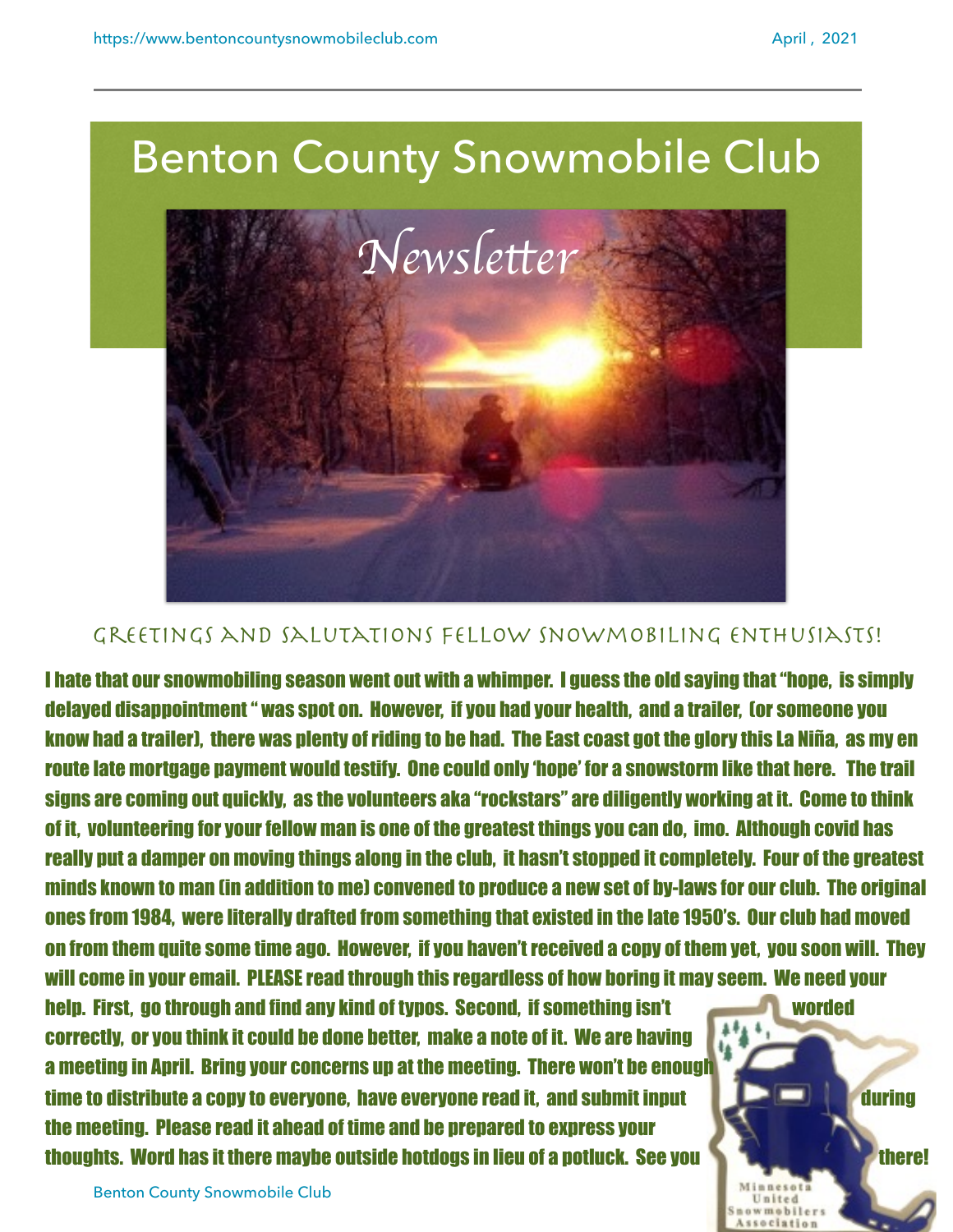

## GREETINGS AND SALUTATIONS FELLOW SNOWMOBILING ENTHUSIASTS!

I hate that our snowmobiling season went out with a whimper. I guess the old saying that "hope, is simply delayed disappointment " was spot on. However, if you had your health, and a trailer, (or someone you know had a trailer), there was plenty of riding to be had. The East coast got the glory this La Niña, as my en route late mortgage payment would testify. One could only 'hope' for a snowstorm like that here. The trail signs are coming out quickly, as the volunteers aka "rockstars" are diligently working at it. Come to think of it, volunteering for your fellow man is one of the greatest things you can do, imo. Although covid has really put a damper on moving things along in the club, it hasn't stopped it completely. Four of the greatest minds known to man (in addition to me) convened to produce a new set of by-laws for our club. The original ones from 1984, were literally drafted from something that existed in the late 1950's. Our club had moved on from them quite some time ago. However, if you haven't received a copy of them yet, you soon will. They will come in your email. PLEASE read through this regardless of how boring it may seem. We need your

help. First, go through and find any kind of typos. Second, if something isn't worded correctly, or you think it could be done better, make a note of it. We are having a meeting in April. Bring your concerns up at the meeting. There won't be enough time to distribute a copy to everyone, have everyone read it, and submit input during during the meeting. Please read it ahead of time and be prepared to express your thoughts. Word has it there maybe outside hotdogs in lieu of a potluck. See you the second there!

wmobile

Benton County Snowmobile Club 1